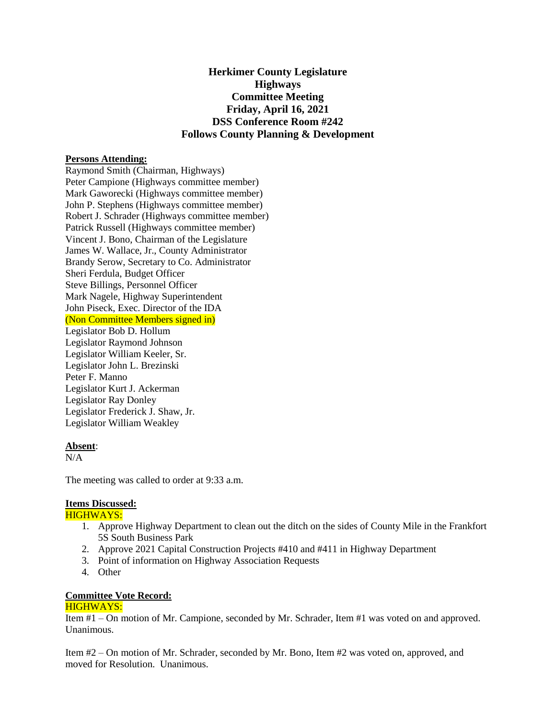# **Herkimer County Legislature Highways Committee Meeting Friday, April 16, 2021 DSS Conference Room #242 Follows County Planning & Development**

## **Persons Attending:**

Raymond Smith (Chairman, Highways) Peter Campione (Highways committee member) Mark Gaworecki (Highways committee member) John P. Stephens (Highways committee member) Robert J. Schrader (Highways committee member) Patrick Russell (Highways committee member) Vincent J. Bono, Chairman of the Legislature James W. Wallace, Jr., County Administrator Brandy Serow, Secretary to Co. Administrator Sheri Ferdula, Budget Officer Steve Billings, Personnel Officer Mark Nagele, Highway Superintendent John Piseck, Exec. Director of the IDA (Non Committee Members signed in)

Legislator Bob D. Hollum Legislator Raymond Johnson Legislator William Keeler, Sr. Legislator John L. Brezinski Peter F. Manno Legislator Kurt J. Ackerman Legislator Ray Donley Legislator Frederick J. Shaw, Jr. Legislator William Weakley

## **Absent**:

 $N/A$ 

The meeting was called to order at 9:33 a.m.

#### **Items Discussed:**

## HIGHWAYS:

- 1. Approve Highway Department to clean out the ditch on the sides of County Mile in the Frankfort 5S South Business Park
- 2. Approve 2021 Capital Construction Projects #410 and #411 in Highway Department
- 3. Point of information on Highway Association Requests
- 4. Other

# **Committee Vote Record:**

# HIGHWAYS:

Item #1 – On motion of Mr. Campione, seconded by Mr. Schrader, Item #1 was voted on and approved. Unanimous.

Item #2 – On motion of Mr. Schrader, seconded by Mr. Bono, Item #2 was voted on, approved, and moved for Resolution. Unanimous.